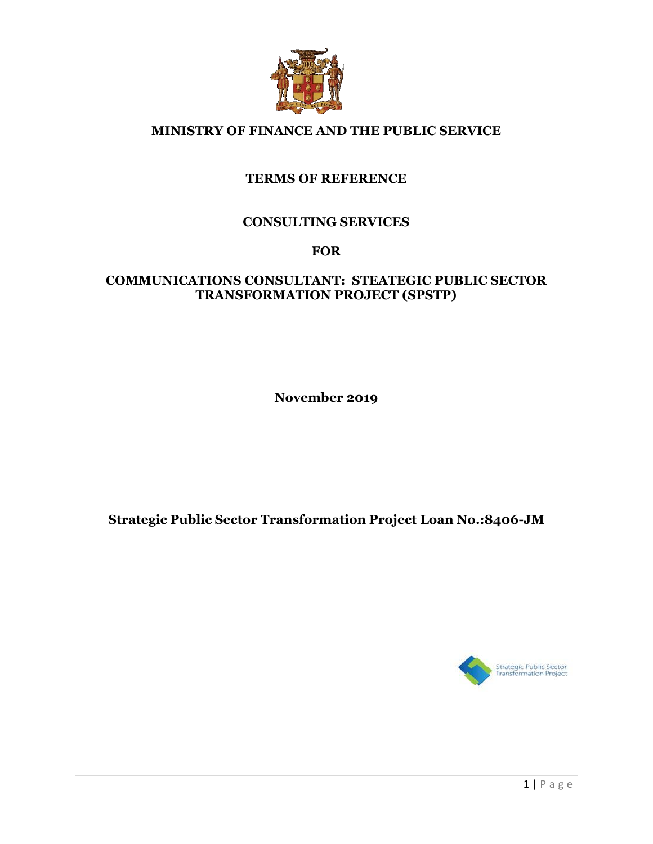

## **MINISTRY OF FINANCE AND THE PUBLIC SERVICE**

## **TERMS OF REFERENCE**

## **CONSULTING SERVICES**

### **FOR**

## **COMMUNICATIONS CONSULTANT: STEATEGIC PUBLIC SECTOR TRANSFORMATION PROJECT (SPSTP)**

**November 2019**

**Strategic Public Sector Transformation Project Loan No.:8406-JM**

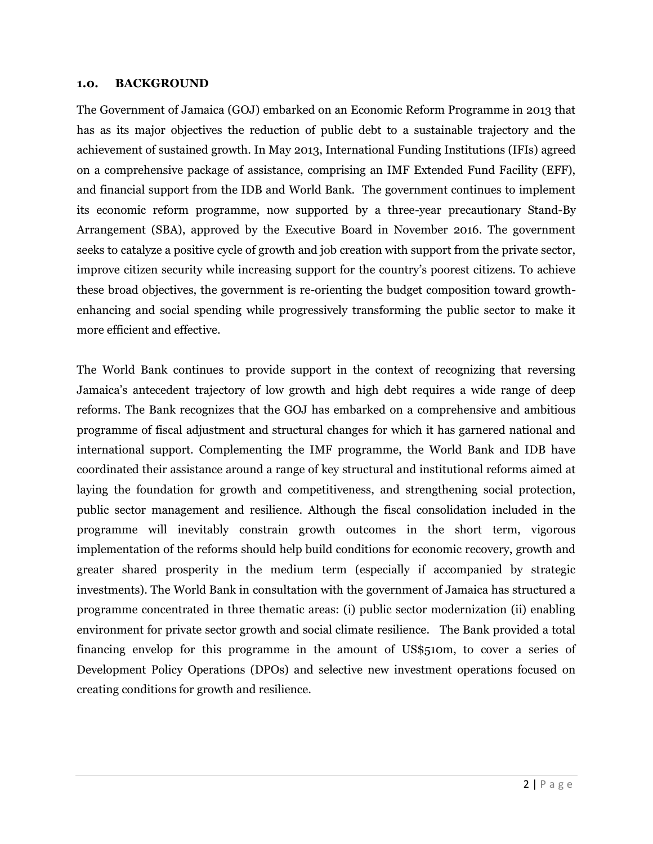#### **1.0. BACKGROUND**

The Government of Jamaica (GOJ) embarked on an Economic Reform Programme in 2013 that has as its major objectives the reduction of public debt to a sustainable trajectory and the achievement of sustained growth. In May 2013, International Funding Institutions (IFIs) agreed on a comprehensive package of assistance, comprising an IMF Extended Fund Facility (EFF), and financial support from the IDB and World Bank. The government continues to implement its economic reform programme, now supported by a three-year precautionary Stand-By Arrangement (SBA), approved by the Executive Board in November 2016. The government seeks to catalyze a positive cycle of growth and job creation with support from the private sector, improve citizen security while increasing support for the country's poorest citizens. To achieve these broad objectives, the government is re-orienting the budget composition toward growthenhancing and social spending while progressively transforming the public sector to make it more efficient and effective.

The World Bank continues to provide support in the context of recognizing that reversing Jamaica's antecedent trajectory of low growth and high debt requires a wide range of deep reforms. The Bank recognizes that the GOJ has embarked on a comprehensive and ambitious programme of fiscal adjustment and structural changes for which it has garnered national and international support. Complementing the IMF programme, the World Bank and IDB have coordinated their assistance around a range of key structural and institutional reforms aimed at laying the foundation for growth and competitiveness, and strengthening social protection, public sector management and resilience. Although the fiscal consolidation included in the programme will inevitably constrain growth outcomes in the short term, vigorous implementation of the reforms should help build conditions for economic recovery, growth and greater shared prosperity in the medium term (especially if accompanied by strategic investments). The World Bank in consultation with the government of Jamaica has structured a programme concentrated in three thematic areas: (i) public sector modernization (ii) enabling environment for private sector growth and social climate resilience. The Bank provided a total financing envelop for this programme in the amount of US\$510m, to cover a series of Development Policy Operations (DPOs) and selective new investment operations focused on creating conditions for growth and resilience.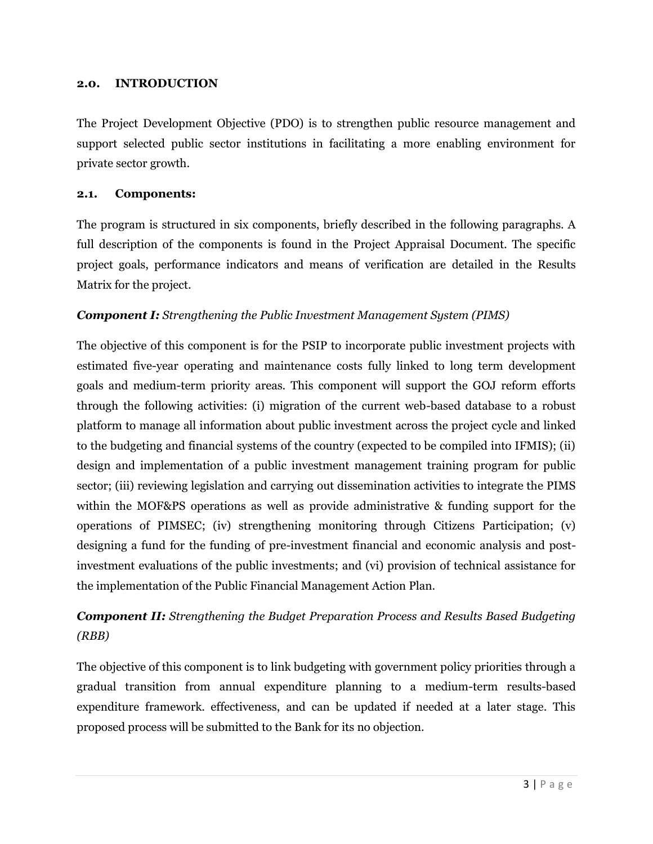#### **2.0. INTRODUCTION**

The Project Development Objective (PDO) is to strengthen public resource management and support selected public sector institutions in facilitating a more enabling environment for private sector growth.

#### **2.1. Components:**

The program is structured in six components, briefly described in the following paragraphs. A full description of the components is found in the Project Appraisal Document. The specific project goals, performance indicators and means of verification are detailed in the Results Matrix for the project.

## *Component I: Strengthening the Public Investment Management System (PIMS)*

The objective of this component is for the PSIP to incorporate public investment projects with estimated five-year operating and maintenance costs fully linked to long term development goals and medium-term priority areas. This component will support the GOJ reform efforts through the following activities: (i) migration of the current web-based database to a robust platform to manage all information about public investment across the project cycle and linked to the budgeting and financial systems of the country (expected to be compiled into IFMIS); (ii) design and implementation of a public investment management training program for public sector; (iii) reviewing legislation and carrying out dissemination activities to integrate the PIMS within the MOF&PS operations as well as provide administrative & funding support for the operations of PIMSEC; (iv) strengthening monitoring through Citizens Participation; (v) designing a fund for the funding of pre-investment financial and economic analysis and postinvestment evaluations of the public investments; and (vi) provision of technical assistance for the implementation of the Public Financial Management Action Plan.

## *Component II: Strengthening the Budget Preparation Process and Results Based Budgeting (RBB)*

The objective of this component is to link budgeting with government policy priorities through a gradual transition from annual expenditure planning to a medium-term results-based expenditure framework. effectiveness, and can be updated if needed at a later stage. This proposed process will be submitted to the Bank for its no objection.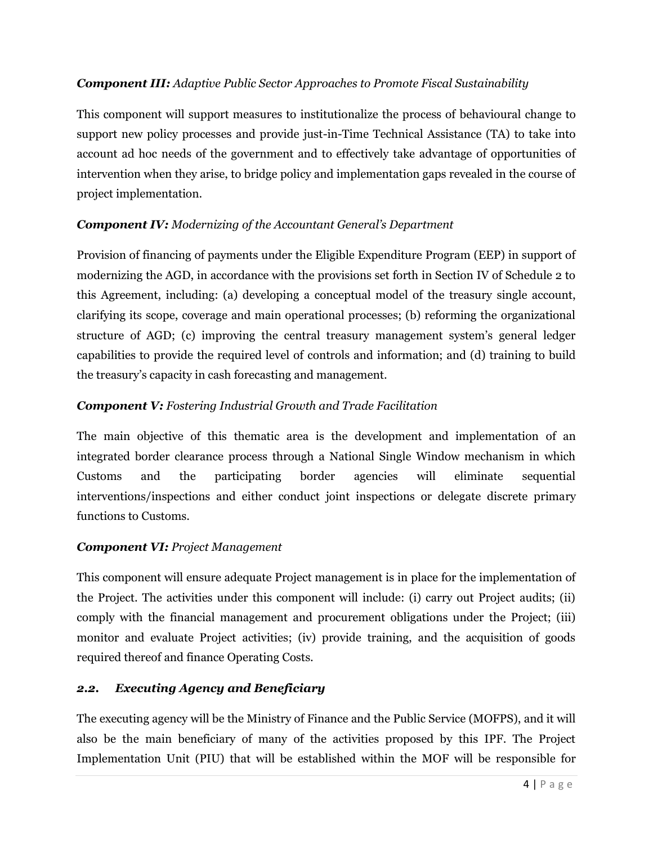### *Component III: Adaptive Public Sector Approaches to Promote Fiscal Sustainability*

This component will support measures to institutionalize the process of behavioural change to support new policy processes and provide just-in-Time Technical Assistance (TA) to take into account ad hoc needs of the government and to effectively take advantage of opportunities of intervention when they arise, to bridge policy and implementation gaps revealed in the course of project implementation.

## *Component IV: Modernizing of the Accountant General's Department*

Provision of financing of payments under the Eligible Expenditure Program (EEP) in support of modernizing the AGD, in accordance with the provisions set forth in Section IV of Schedule 2 to this Agreement, including: (a) developing a conceptual model of the treasury single account, clarifying its scope, coverage and main operational processes; (b) reforming the organizational structure of AGD; (c) improving the central treasury management system's general ledger capabilities to provide the required level of controls and information; and (d) training to build the treasury's capacity in cash forecasting and management.

## *Component V: Fostering Industrial Growth and Trade Facilitation*

The main objective of this thematic area is the development and implementation of an integrated border clearance process through a National Single Window mechanism in which Customs and the participating border agencies will eliminate sequential interventions/inspections and either conduct joint inspections or delegate discrete primary functions to Customs.

### *Component VI: Project Management*

This component will ensure adequate Project management is in place for the implementation of the Project. The activities under this component will include: (i) carry out Project audits; (ii) comply with the financial management and procurement obligations under the Project; (iii) monitor and evaluate Project activities; (iv) provide training, and the acquisition of goods required thereof and finance Operating Costs.

## *2.2. Executing Agency and Beneficiary*

The executing agency will be the Ministry of Finance and the Public Service (MOFPS), and it will also be the main beneficiary of many of the activities proposed by this IPF. The Project Implementation Unit (PIU) that will be established within the MOF will be responsible for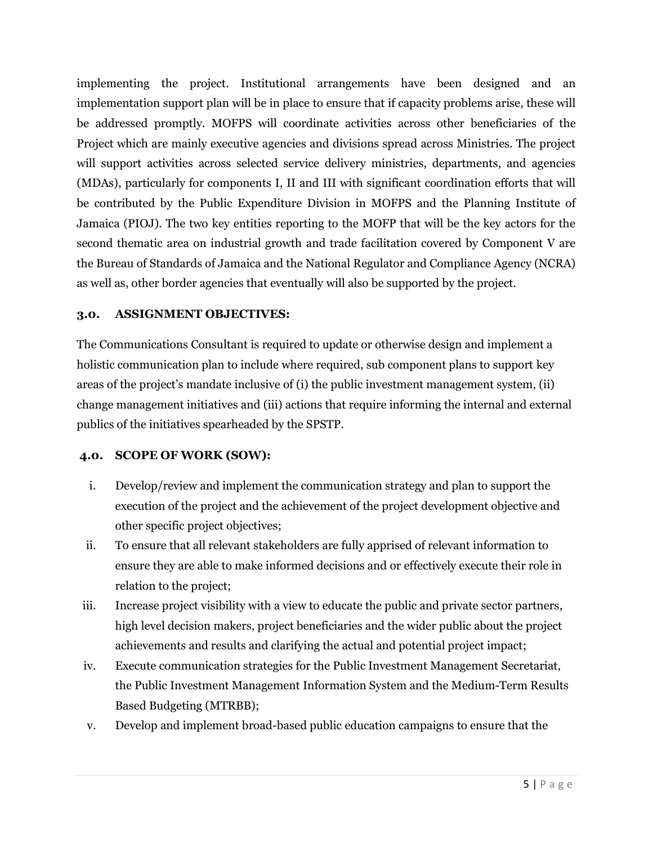implementing the project. Institutional arrangements have been designed and an implementation support plan will be in place to ensure that if capacity problems arise, these will be addressed promptly. MOFPS will coordinate activities across other beneficiaries of the Project which are mainly executive agencies and divisions spread across Ministries. The project will support activities across selected service delivery ministries, departments, and agencies (MDAs), particularly for components I, II and III with significant coordination efforts that will be contributed by the Public Expenditure Division in MOFPS and the Planning Institute of Jamaica (PIOJ). The two key entities reporting to the MOFP that will be the key actors for the second thematic area on industrial growth and trade facilitation covered by Component V are the Bureau of Standards of Jamaica and the National Regulator and Compliance Agency (NCRA) as well as, other border agencies that eventually will also be supported by the project.

#### **3.0. ASSIGNMENT OBJECTIVES:**

The Communications Consultant is required to update or otherwise design and implement a holistic communication plan to include where required, sub component plans to support key areas of the project's mandate inclusive of (i) the public investment management system, (ii) change management initiatives and (iii) actions that require informing the internal and external publics of the initiatives spearheaded by the SPSTP.

### **4.0. SCOPE OF WORK (SOW):**

- i. Develop/review and implement the communication strategy and plan to support the execution of the project and the achievement of the project development objective and other specific project objectives;
- ii. To ensure that all relevant stakeholders are fully apprised of relevant information to ensure they are able to make informed decisions and or effectively execute their role in relation to the project;
- iii. Increase project visibility with a view to educate the public and private sector partners, high level decision makers, project beneficiaries and the wider public about the project achievements and results and clarifying the actual and potential project impact;
- iv. Execute communication strategies for the Public Investment Management Secretariat, the Public Investment Management Information System and the Medium-Term Results Based Budgeting (MTRBB);
- v. Develop and implement broad-based public education campaigns to ensure that the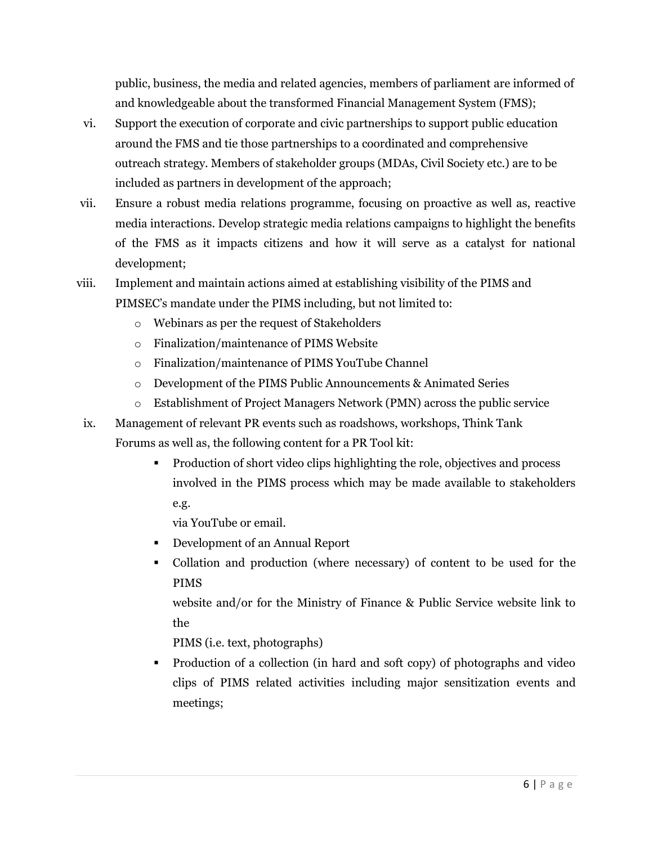public, business, the media and related agencies, members of parliament are informed of and knowledgeable about the transformed Financial Management System (FMS);

- vi. Support the execution of corporate and civic partnerships to support public education around the FMS and tie those partnerships to a coordinated and comprehensive outreach strategy. Members of stakeholder groups (MDAs, Civil Society etc.) are to be included as partners in development of the approach;
- vii. Ensure a robust media relations programme, focusing on proactive as well as, reactive media interactions. Develop strategic media relations campaigns to highlight the benefits of the FMS as it impacts citizens and how it will serve as a catalyst for national development;
- viii. Implement and maintain actions aimed at establishing visibility of the PIMS and PIMSEC's mandate under the PIMS including, but not limited to:
	- o Webinars as per the request of Stakeholders
	- o Finalization/maintenance of PIMS Website
	- o Finalization/maintenance of PIMS YouTube Channel
	- o Development of the PIMS Public Announcements & Animated Series
	- o Establishment of Project Managers Network (PMN) across the public service
- ix. Management of relevant PR events such as roadshows, workshops, Think Tank Forums as well as, the following content for a PR Tool kit:
	- Production of short video clips highlighting the role, objectives and process involved in the PIMS process which may be made available to stakeholders e.g.
		- via YouTube or email.
	- Development of an Annual Report
	- Collation and production (where necessary) of content to be used for the PIMS

website and/or for the Ministry of Finance & Public Service website link to the

PIMS (i.e. text, photographs)

 Production of a collection (in hard and soft copy) of photographs and video clips of PIMS related activities including major sensitization events and meetings;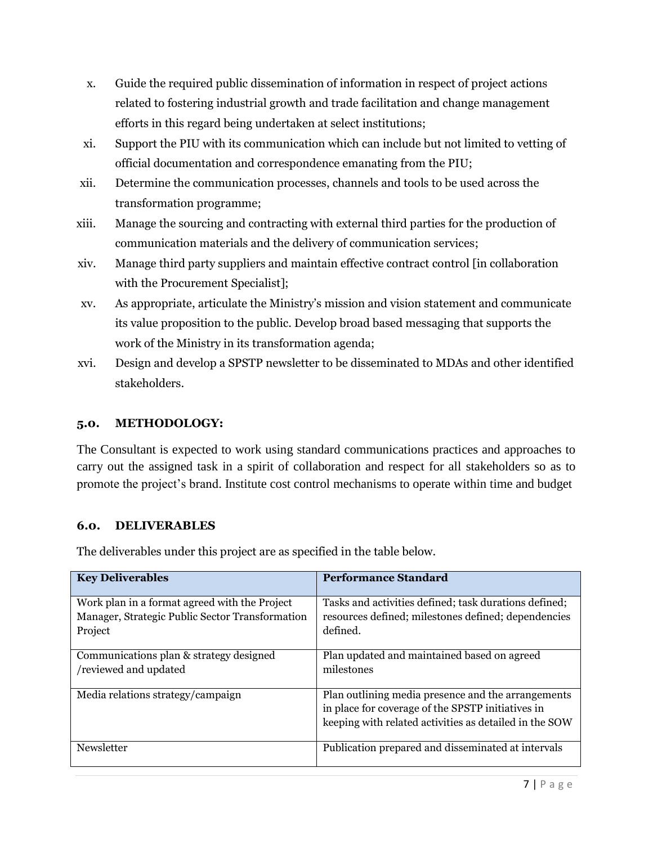- x. Guide the required public dissemination of information in respect of project actions related to fostering industrial growth and trade facilitation and change management efforts in this regard being undertaken at select institutions;
- xi. Support the PIU with its communication which can include but not limited to vetting of official documentation and correspondence emanating from the PIU;
- xii. Determine the communication processes, channels and tools to be used across the transformation programme;
- xiii. Manage the sourcing and contracting with external third parties for the production of communication materials and the delivery of communication services;
- xiv. Manage third party suppliers and maintain effective contract control [in collaboration with the Procurement Specialist];
- xv. As appropriate, articulate the Ministry's mission and vision statement and communicate its value proposition to the public. Develop broad based messaging that supports the work of the Ministry in its transformation agenda;
- xvi. Design and develop a SPSTP newsletter to be disseminated to MDAs and other identified stakeholders.

### **5.0. METHODOLOGY:**

The Consultant is expected to work using standard communications practices and approaches to carry out the assigned task in a spirit of collaboration and respect for all stakeholders so as to promote the project's brand. Institute cost control mechanisms to operate within time and budget

#### **6.0. DELIVERABLES**

The deliverables under this project are as specified in the table below.

| <b>Key Deliverables</b>                                                                                     | <b>Performance Standard</b>                                                                                                                                       |
|-------------------------------------------------------------------------------------------------------------|-------------------------------------------------------------------------------------------------------------------------------------------------------------------|
| Work plan in a format agreed with the Project<br>Manager, Strategic Public Sector Transformation<br>Project | Tasks and activities defined; task durations defined;<br>resources defined; milestones defined; dependencies<br>defined.                                          |
| Communications plan & strategy designed<br>reviewed and updated                                             | Plan updated and maintained based on agreed<br>milestones                                                                                                         |
| Media relations strategy/campaign                                                                           | Plan outlining media presence and the arrangements<br>in place for coverage of the SPSTP initiatives in<br>keeping with related activities as detailed in the SOW |
| Newsletter                                                                                                  | Publication prepared and disseminated at intervals                                                                                                                |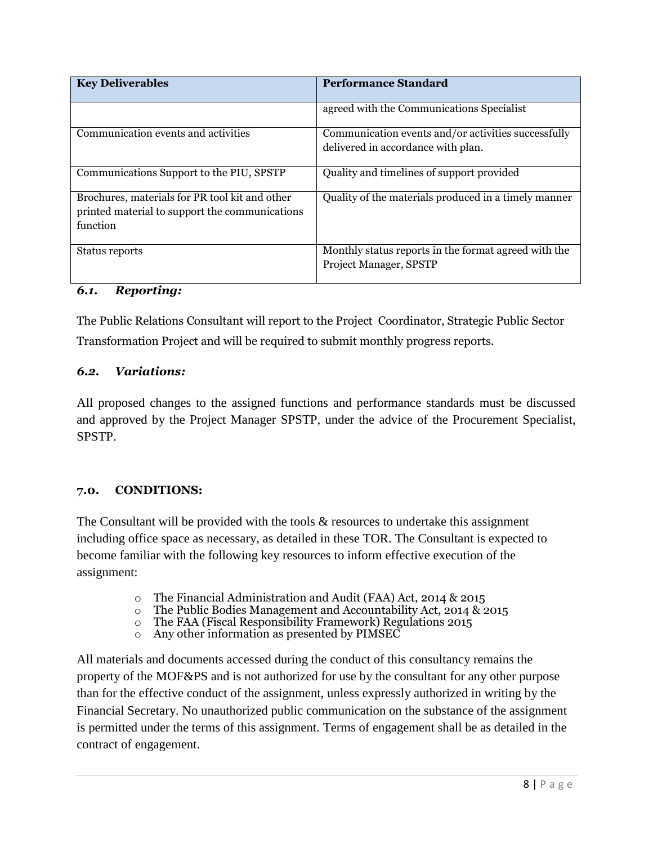| <b>Key Deliverables</b>                                                                                      | <b>Performance Standard</b>                                                               |
|--------------------------------------------------------------------------------------------------------------|-------------------------------------------------------------------------------------------|
|                                                                                                              | agreed with the Communications Specialist                                                 |
| Communication events and activities                                                                          | Communication events and/or activities successfully<br>delivered in accordance with plan. |
| Communications Support to the PIU, SPSTP                                                                     | Quality and timelines of support provided                                                 |
| Brochures, materials for PR tool kit and other<br>printed material to support the communications<br>function | Quality of the materials produced in a timely manner                                      |
| Status reports                                                                                               | Monthly status reports in the format agreed with the<br>Project Manager, SPSTP            |

### *6.1. Reporting:*

The Public Relations Consultant will report to the Project Coordinator, Strategic Public Sector Transformation Project and will be required to submit monthly progress reports.

#### *6.2. Variations:*

All proposed changes to the assigned functions and performance standards must be discussed and approved by the Project Manager SPSTP, under the advice of the Procurement Specialist, SPSTP.

#### **7.0. CONDITIONS:**

The Consultant will be provided with the tools & resources to undertake this assignment including office space as necessary, as detailed in these TOR. The Consultant is expected to become familiar with the following key resources to inform effective execution of the assignment:

- o The Financial Administration and Audit (FAA) Act, 2014 & 2015
- $\circ$  The Public Bodies Management and Accountability Act, 2014 & 2015
- o The FAA (Fiscal Responsibility Framework) Regulations 2015
- o Any other information as presented by PIMSEC

All materials and documents accessed during the conduct of this consultancy remains the property of the MOF&PS and is not authorized for use by the consultant for any other purpose than for the effective conduct of the assignment, unless expressly authorized in writing by the Financial Secretary. No unauthorized public communication on the substance of the assignment is permitted under the terms of this assignment. Terms of engagement shall be as detailed in the contract of engagement.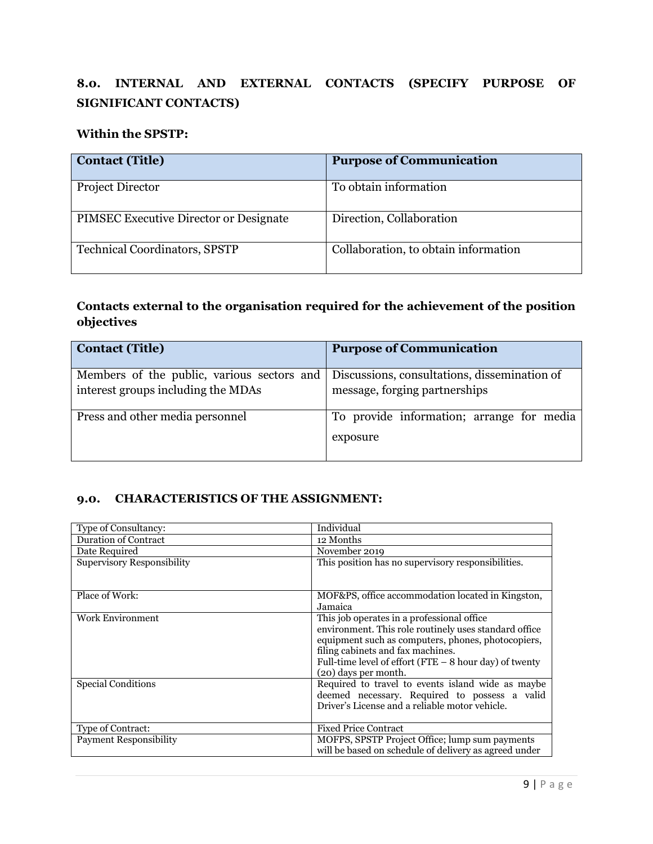# **8.0. INTERNAL AND EXTERNAL CONTACTS (SPECIFY PURPOSE OF SIGNIFICANT CONTACTS)**

#### **Within the SPSTP:**

| <b>Contact (Title)</b>                        | <b>Purpose of Communication</b>      |
|-----------------------------------------------|--------------------------------------|
| Project Director                              | To obtain information                |
| <b>PIMSEC Executive Director or Designate</b> | Direction, Collaboration             |
| <b>Technical Coordinators, SPSTP</b>          | Collaboration, to obtain information |

## **Contacts external to the organisation required for the achievement of the position objectives**

| <b>Contact (Title)</b>                                                           | <b>Purpose of Communication</b>                                               |  |
|----------------------------------------------------------------------------------|-------------------------------------------------------------------------------|--|
| Members of the public, various sectors and<br>interest groups including the MDAs | Discussions, consultations, dissemination of<br>message, forging partnerships |  |
| Press and other media personnel                                                  | To provide information; arrange for media<br>exposure                         |  |

## **9.0. CHARACTERISTICS OF THE ASSIGNMENT:**

| Type of Consultancy:              | Individual                                               |  |
|-----------------------------------|----------------------------------------------------------|--|
| <b>Duration of Contract</b>       | 12 Months                                                |  |
| Date Required                     | November 2019                                            |  |
| <b>Supervisory Responsibility</b> | This position has no supervisory responsibilities.       |  |
|                                   |                                                          |  |
| Place of Work:                    | MOF&PS, office accommodation located in Kingston,        |  |
|                                   | Jamaica                                                  |  |
| <b>Work Environment</b>           | This job operates in a professional office               |  |
|                                   | environment. This role routinely uses standard office    |  |
|                                   | equipment such as computers, phones, photocopiers,       |  |
|                                   | filing cabinets and fax machines.                        |  |
|                                   | Full-time level of effort (FTE $-$ 8 hour day) of twenty |  |
|                                   | (20) days per month.                                     |  |
| <b>Special Conditions</b>         | Required to travel to events island wide as maybe        |  |
|                                   | deemed necessary. Required to possess a valid            |  |
|                                   | Driver's License and a reliable motor vehicle.           |  |
|                                   |                                                          |  |
| Type of Contract:                 | <b>Fixed Price Contract</b>                              |  |
| <b>Payment Responsibility</b>     | MOFPS, SPSTP Project Office; lump sum payments           |  |
|                                   | will be based on schedule of delivery as agreed under    |  |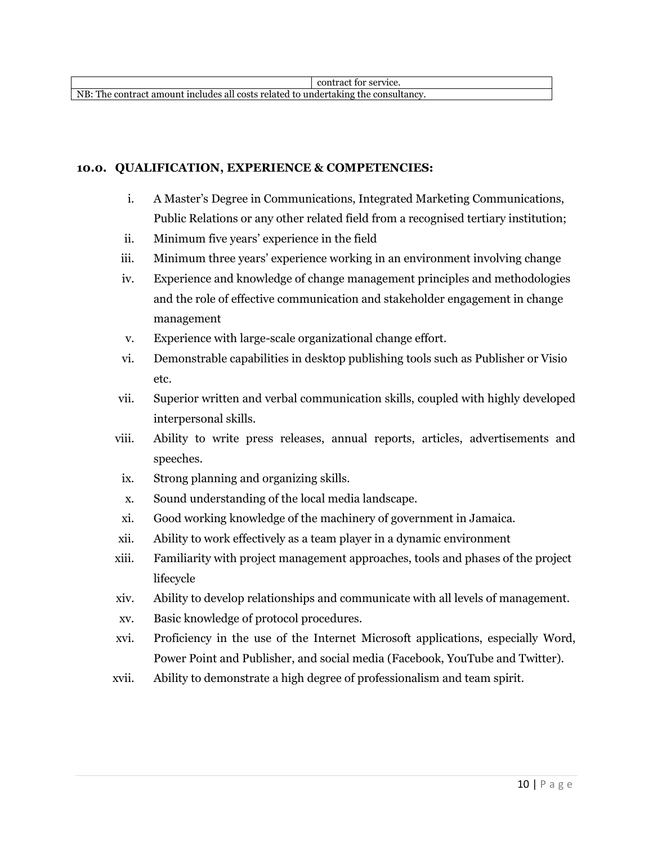NB: The contract amount includes all costs related to undertaking the consultancy.

#### **10.0. QUALIFICATION, EXPERIENCE & COMPETENCIES:**

- i. A Master's Degree in Communications, Integrated Marketing Communications, Public Relations or any other related field from a recognised tertiary institution;
- ii. Minimum five years' experience in the field
- iii. Minimum three years' experience working in an environment involving change
- iv. Experience and knowledge of change management principles and methodologies and the role of effective communication and stakeholder engagement in change management
- v. Experience with large-scale organizational change effort.
- vi. Demonstrable capabilities in desktop publishing tools such as Publisher or Visio etc.
- vii. Superior written and verbal communication skills, coupled with highly developed interpersonal skills.
- viii. Ability to write press releases, annual reports, articles, advertisements and speeches.
- ix. Strong planning and organizing skills.
- x. Sound understanding of the local media landscape.
- xi. Good working knowledge of the machinery of government in Jamaica.
- xii. Ability to work effectively as a team player in a dynamic environment
- xiii. Familiarity with project management approaches, tools and phases of the project lifecycle
- xiv. Ability to develop relationships and communicate with all levels of management.
- xv. Basic knowledge of protocol procedures.
- xvi. Proficiency in the use of the Internet Microsoft applications, especially Word, Power Point and Publisher, and social media (Facebook, YouTube and Twitter).
- xvii. Ability to demonstrate a high degree of professionalism and team spirit.